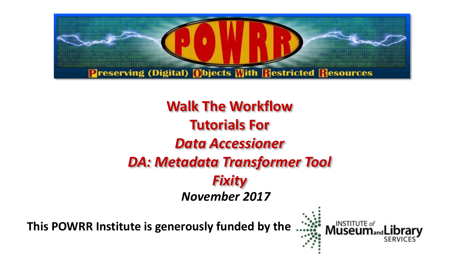

## *November 2017* **Walk The Workflow Tutorials For** *Data Accessioner DA: Metadata Transformer Tool Fixity*

**This POWRR Institute is generously funded by the**

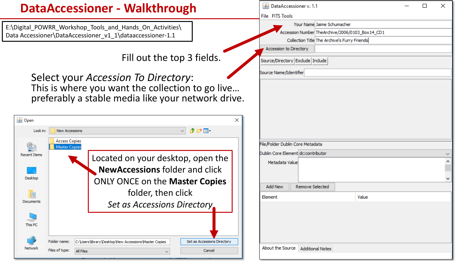#### **DataAccessioner - Walkthrough**

E:\Digital\_POWRR\_Workshop\_Tools\_and\_Hands\_On\_Activities\ Data Accessioner\DataAccessioner\_v1\_1\dataaccessioner-1.1

Fill out the top 3 fields.

Select your *Accession To Directory*: This is where you want the collection to go live… preferably a stable media like your network drive.



| ∣ ≝) DataAccessioner v. 1.1        |                                                 |  |  | × |  |  |  |
|------------------------------------|-------------------------------------------------|--|--|---|--|--|--|
| File FITS Tools                    |                                                 |  |  |   |  |  |  |
|                                    | Your Name Jaime Schumacher                      |  |  |   |  |  |  |
|                                    | Accession Number TheArchive/2006/0103_Box14_CD1 |  |  |   |  |  |  |
|                                    | Collection Title The Archive's Furry Friends    |  |  |   |  |  |  |
| Accession to Directory             |                                                 |  |  |   |  |  |  |
| Source/Directory Exclude Include   |                                                 |  |  |   |  |  |  |
| Source Name/Identifier             |                                                 |  |  |   |  |  |  |
| File/Folder Dublin Core Metadata   |                                                 |  |  |   |  |  |  |
| Dublin Core Element dc:contributor |                                                 |  |  |   |  |  |  |
| Metadata Value                     |                                                 |  |  |   |  |  |  |
| <b>Add New</b><br>Remove Selected  |                                                 |  |  |   |  |  |  |
| Element                            | Value                                           |  |  |   |  |  |  |
|                                    |                                                 |  |  |   |  |  |  |
| About the Source                   | <b>Additional Notes</b>                         |  |  |   |  |  |  |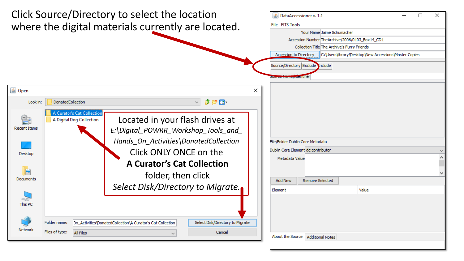| ×<br><u>5</u> DataAccessioner v. 1.1<br>□<br>File FITS Tools<br>Your Name Jaime Schumacher<br>Accession Number TheArchive/2006/0103_Box14_CD1<br>Collection Title The Archive's Furry Friends<br>C:\Users\library\Desktop\New Accessions\Master Copies<br>Accession to Directory<br>Source/Directory Exclude Include |
|----------------------------------------------------------------------------------------------------------------------------------------------------------------------------------------------------------------------------------------------------------------------------------------------------------------------|
| su <del>uree mamepue</del> ntifier<br>×                                                                                                                                                                                                                                                                              |
| File/Folder Dublin Core Metadata                                                                                                                                                                                                                                                                                     |
| Dublin Core Element dc:contributor                                                                                                                                                                                                                                                                                   |
| Metadata Value<br><b>Remove Selected</b><br><b>Add New</b><br>Value<br>Element                                                                                                                                                                                                                                       |
| About the Source   Additional Notes                                                                                                                                                                                                                                                                                  |
|                                                                                                                                                                                                                                                                                                                      |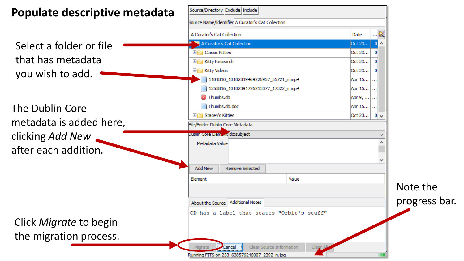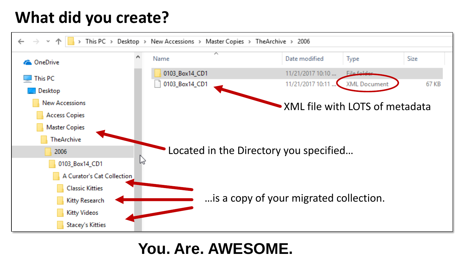## **What did you create?**



#### **You. Are. AWESOME.**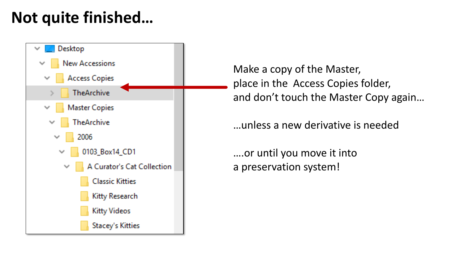## **Not quite finished…**



Make a copy of the Master, place in the Access Copies folder, and don't touch the Master Copy again…

…unless a new derivative is needed

….or until you move it into a preservation system!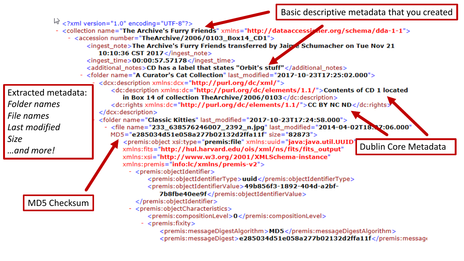Basic descriptive metadata that you created

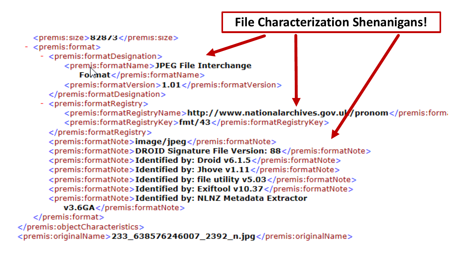#### **File Characterization Shenanigans!**

<premis:size>82873</premis:size>

- $-$  <premis: format >
	- <premis:formatDesignation>
		- <premis:formatName>JPEG File Interchange
			- $Fokmat$  </premis: format Name>
		- $\le$ premis:formatVersion>1.01</premis:formatVersion>
		- </premis:formatDesignation>
	- <premis:formatRegistry>
		- <premis:formatRegistryName>http://www.nationalarchives.gov.ul//pronom</premis:forma
		- <premis:formatRegistryKey>fmt/43</premis:formatRegistryKey>
		- </premis:formatRegistry>
		- <premis:formatNote>**image/jpeg**</premis:formatNote>
		- <premis:formatNote>DROID Signature File Version: 88</premis:formatNote>
		- <premis:formatNote>Identified by: Droid v6.1.5</premis:formatNote>
		- $\le$ premis: format Note > Identified by: Jhove v1.11 $\le$ /premis: format Note >
		- <premis:formatNote>Identified by: file utility v5.03</premis:formatNote>
		- <premis:formatNote>Identified by: Exiftool v10.37</premis:formatNote>
		- <premis:formatNote>Identified by: NLNZ Metadata Extractor
			- v3.6GA</premis:formatNote>
	- $<$ /premis:format $>$
- </premis:objectCharacteristics>
- <premis:originalName>233\_638576246007\_2392\_n.jpg</premis:originalName>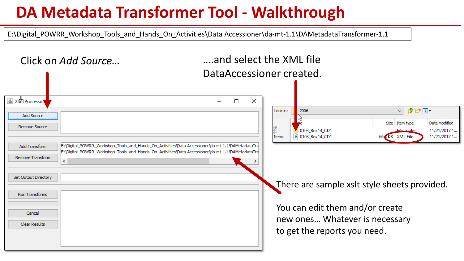### **DA Metadata Transformer Tool - Walkthrough**

E:\Digital\_POWRR\_Workshop\_Tools\_and\_Hands\_On\_Activities\Data Accessioner\da-mt-1.1\DAMetadataTransformer-1.1

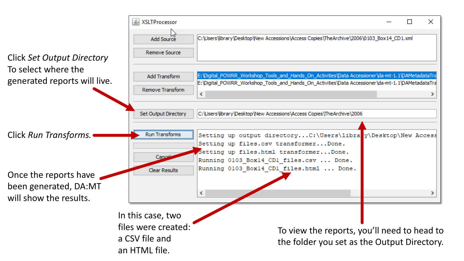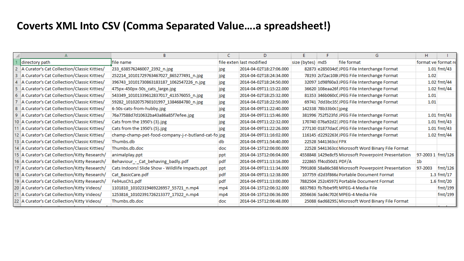#### **Coverts XML Into CSV (Comma Separated Value….a spreadsheet!)**

| format ve format re |
|---------------------|
| $1.01$ fmt/43       |
|                     |
| $1.02$ fmt/44       |
| 1.02 fmt/44         |
|                     |
|                     |
|                     |
| $1.01$ fmt/43       |
| $1.01$ fmt/43       |
| $1.01$ fmt/43       |
| $1.02$ fmt/44       |
|                     |
|                     |
| 97-2003 1 fmt/126   |
|                     |
| fmt/126             |
| $1.3$ fmt/17        |
| $1.6$ fmt/20        |
| fmt/199             |
| fmt/199             |
|                     |
|                     |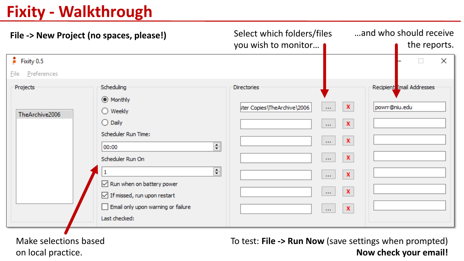## **Fixity - Walkthrough**

| File -> New Project (no spaces, please!)                                                                                                                            |                                                                                                                                                                                 | Select which folders/files<br>you wish to monitor |                                                                                                                                                                                                                                         | and who should receive<br>the reports. |                           |   |  |
|---------------------------------------------------------------------------------------------------------------------------------------------------------------------|---------------------------------------------------------------------------------------------------------------------------------------------------------------------------------|---------------------------------------------------|-----------------------------------------------------------------------------------------------------------------------------------------------------------------------------------------------------------------------------------------|----------------------------------------|---------------------------|---|--|
| $\epsilon$ Fixity 0.5                                                                                                                                               |                                                                                                                                                                                 |                                                   |                                                                                                                                                                                                                                         |                                        | $\Box$                    | × |  |
| Preferences<br>File                                                                                                                                                 |                                                                                                                                                                                 |                                                   |                                                                                                                                                                                                                                         |                                        |                           |   |  |
| Scheduling<br>Projects<br>◉ Monthly<br>$\bigcirc$ Weekly<br>TheArchive2006<br>$\bigcirc$ Daily<br>Scheduler Run Time:<br>00:00<br>Scheduler Run On<br>Last checked: | $\left  \frac{\bullet}{\bullet} \right $<br>$\Rightarrow$<br>$\sqrt{}$ Run when on battery power<br>$\sqrt{}$ If missed, run upon restart<br>Email only upon warning or failure | <b>Directories</b><br>ster Copies\TheArchive\2006 | $\mathbf x$<br>$\sim 100$<br>$\mathbf x$<br>444.<br>$\mathbf x$<br>$\cdots$<br>$\pmb{\mathsf{x}}$<br>$\mathbf{r}$ and<br>$\pmb{\mathsf{x}}$<br>$\sim 100$<br>$\pmb{\mathsf{x}}$<br>$\sim 100$<br>$\pmb{\mathsf{x}}$<br>$\mathbf{r}$ and | powrr@niu.edu                          | Recipient Email Addresses |   |  |

Make selections based on local practice.

To test: **File -> Run Now** (save settings when prompted) **Now check your email!**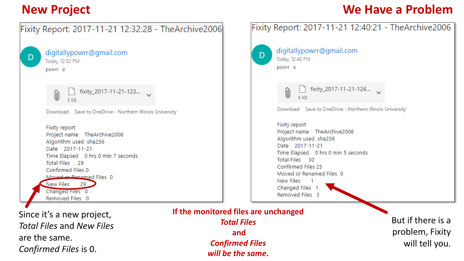*Confirmed Files* is 0.

#### **New Project We Have a Problem**



*will be the same***.**

But if there is a problem, Fixity will tell you.